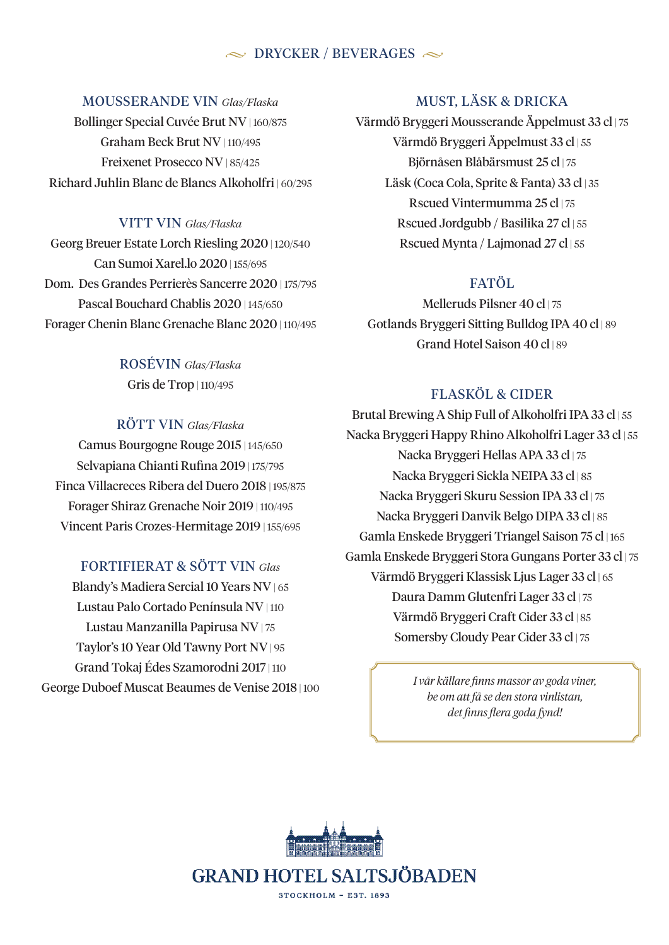#### $\sim$  DRYCKER / BEVERAGES  $\sim$

MOUSSERANDE VIN *Glas/Flaska*

Bollinger Special Cuvée Brut NV | 160/875 Graham Beck Brut NV | 110/495 Freixenet Prosecco NV | 85/425 Richard Juhlin Blanc de Blancs Alkoholfri | 60/295

VITT VIN *Glas/Flaska* Georg Breuer Estate Lorch Riesling 2020 | 120/540 Can Sumoi Xarel.lo 2020 | 155/695 Dom. Des Grandes Perrierès Sancerre 2020 | 175/795 Pascal Bouchard Chablis 2020 | 145/650 Forager Chenin Blanc Grenache Blanc 2020 | 110/495

> ROSÉVIN *Glas/Flaska* Gris de Trop | 110/495

### RÖTT VIN *Glas/Flaska*

Camus Bourgogne Rouge 2015 | 145/650 Selvapiana Chianti Rufina 2019 | 175/795 Finca Villacreces Ribera del Duero 2018 | 195/875 Forager Shiraz Grenache Noir 2019 | 110/495 Vincent Paris Crozes-Hermitage 2019 | 155/695

#### FORTIFIERAT & SÖTT VIN *Glas*

Blandy's Madiera Sercial 10 Years NV | 65 Lustau Palo Cortado Península NV | 110 Lustau Manzanilla Papirusa NV | 75 Taylor's 10 Year Old Tawny Port NV | 95 Grand Tokaj Édes Szamorodni 2017 | 110 George Duboef Muscat Beaumes de Venise 2018 | 100

#### MUST, LÄSK & DRICKA

Värmdö Bryggeri Mousserande Äppelmust 33 cl | 75 Värmdö Bryggeri Äppelmust 33 cl | 55 Björnåsen Blåbärsmust 25 cl | 75 Läsk (Coca Cola, Sprite & Fanta) 33 cl | 35 Rscued Vintermumma 25 cl | 75 Rscued Jordgubb / Basilika 27 cl | 55 Rscued Mynta / Lajmonad 27 cl | 55

#### FATÖL

Melleruds Pilsner 40 cl | 75 Gotlands Bryggeri Sitting Bulldog IPA 40 cl | 89 Grand Hotel Saison 40 cl | 89

#### FLASKÖL & CIDER

Brutal Brewing A Ship Full of Alkoholfri IPA 33 cl | 55 Nacka Bryggeri Happy Rhino Alkoholfri Lager 33 cl | 55 Nacka Bryggeri Hellas APA 33 cl | 75 Nacka Bryggeri Sickla NEIPA 33 cl | 85 Nacka Bryggeri Skuru Session IPA 33 cl | 75 Nacka Bryggeri Danvik Belgo DIPA 33 cl | 85 Gamla Enskede Bryggeri Triangel Saison 75 cl | 165 Gamla Enskede Bryggeri Stora Gungans Porter 33 cl | 75 Värmdö Bryggeri Klassisk Ljus Lager 33 cl | 65 Daura Damm Glutenfri Lager 33 cl | 75 Värmdö Bryggeri Craft Cider 33 cl | 85 Somersby Cloudy Pear Cider 33 cl | 75

> *I vår källare finns massor av goda viner, be om att få se den stora vinlistan, det finns flera goda fynd!*

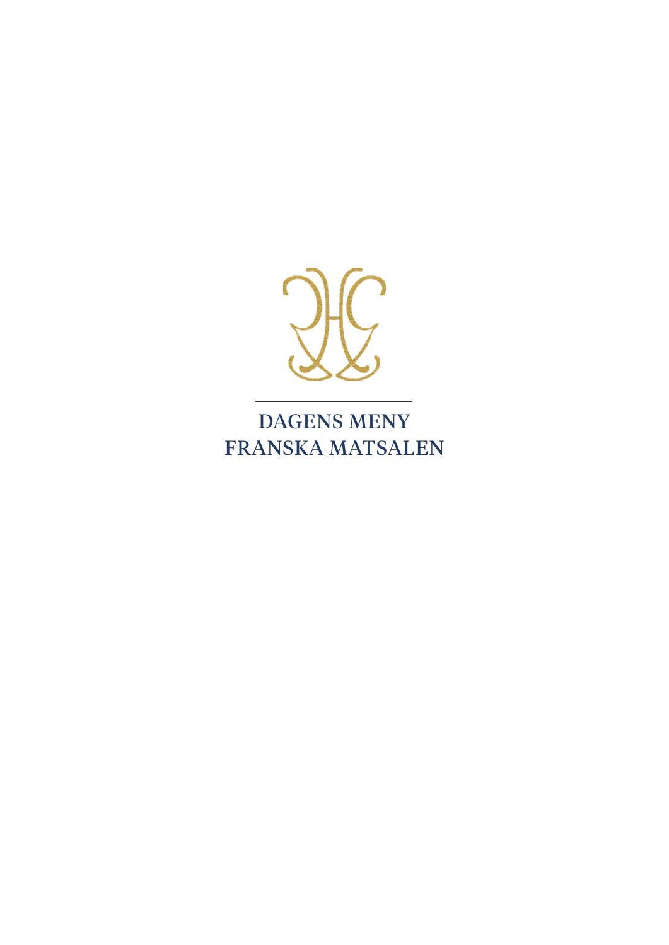

DAGENS MENY FRANSKA MATSALEN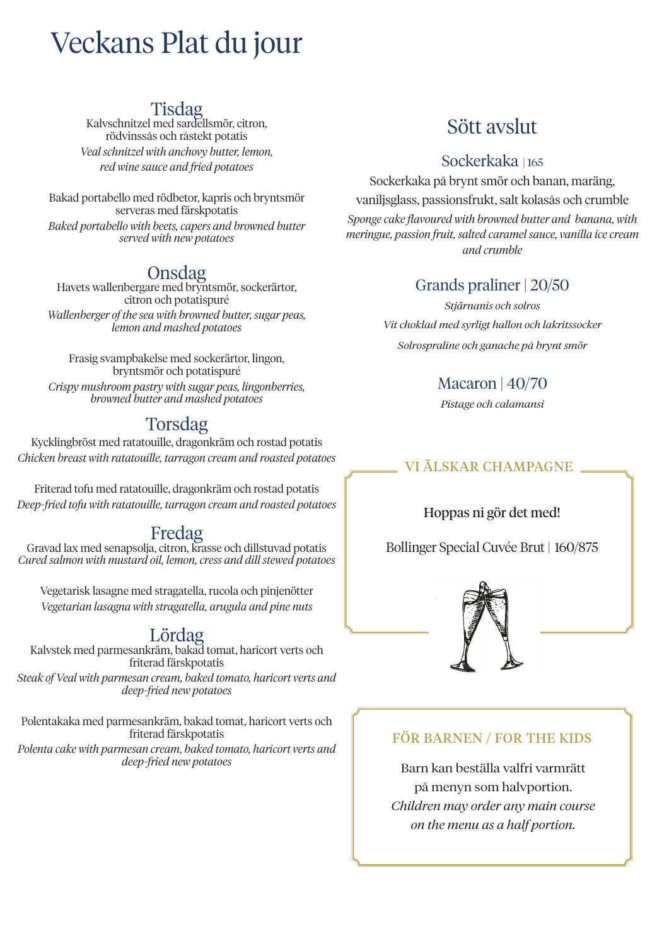# Veckans Plat du jour

Tisdag<br>Kalvschnitzel med sardellsmör, citron, rödvinssås och råstekt potatis *Veal schnitzel with anchovy butter, lemon, red wine sauce and fried potatoes*

Bakad portabello med rödbetor, kapris och bryntsmör serveras med färskpotatis *Baked portabello with beets, capers and browned butter served with new potatoes*

Onsdag Havets wallenbergare med bryntsmör, sockerärtor, citron och potatispuré *Wallenberger of the sea with browned butter, sugar peas, lemon and mashed potatoes*

Frasig svampbakelse med sockerärtor, lingon, bryntsmör och potatispuré *Crispy mushroom pastry with sugar peas, lingonberries, browned butter and mashed potatoes*

### Torsdag

Kycklingbröst med ratatouille, dragonkräm och rostad potatis *Chicken breast with ratatouille, tarragon cream and roasted potatoes*

Friterad tofu med ratatouille, dragonkräm och rostad potatis *Deep-fried tofu with ratatouille, tarragon cream and roasted potatoes*

Fredag Gravad lax med senapsolja, citron, krasse och dillstuvad potatis *Cured salmon with mustard oil, lemon, cress and dill stewed potatoes*

Vegetarisk lasagne med stragatella, rucola och pinjenötter *Vegetarian lasagna with stragatella, arugula and pine nuts*

LOTCLAG<br>Kalvstek med parmesankräm, bakad tomat, haricort verts och friterad färskpotatis

*Steak of Veal with parmesan cream, baked tomato, haricort verts and deep-fried new potatoes*

Polentakaka med parmesankräm, bakad tomat, haricort verts och friterad färskpotatis *Polenta cake with parmesan cream, baked tomato, haricort verts and deep-fried new potatoes*

## Sött avslut

#### Sockerkaka | 165

Sockerkaka på brynt smör och banan, maräng, vaniljsglass, passionsfrukt, salt kolasås och crumble *Sponge cake flavoured with browned butter and banana, with meringue, passion fruit, salted caramel sauce, vanilla ice cream and crumble*

### Grands praliner | 20/50

*Stjärnanis och solros Vit choklad med syrligt hallon och lakritssocker Solrospraline och ganache på brynt smör*

#### Macaron | 40/70

*Pistage och calamansi*

### VI ÄLSKAR CHAMPAGNE

#### Hoppas ni gör det med!

Bollinger Special Cuvée Brut | 160/875



#### FÖR BARNEN / FOR THE KIDS

Barn kan beställa valfri varmrätt på menyn som halvportion. *Children may order any main course on the menu as a half portion.*